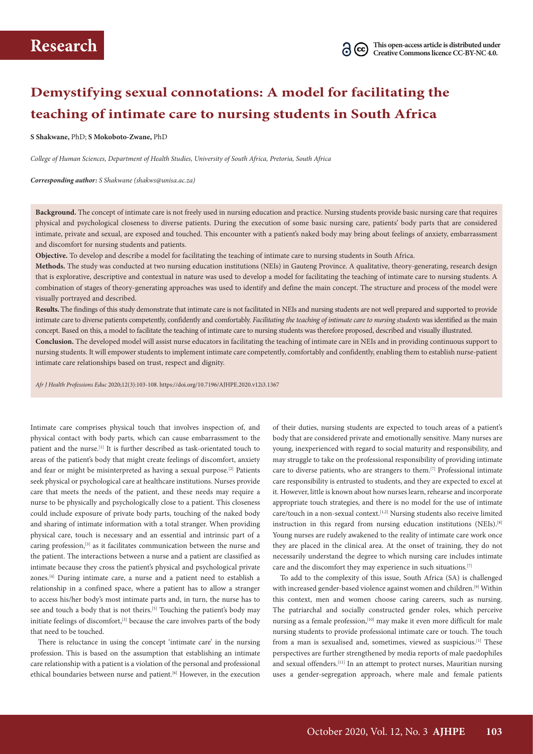# **Demystifying sexual connotations: A model for facilitating the teaching of intimate care to nursing students in South Africa**

**S Shakwane,** PhD; **S Mokoboto-Zwane,** PhD

*College of Human Sciences, Department of Health Studies, University of South Africa, Pretoria, South Africa* 

*Corresponding author: S Shakwane (shakws@unisa.ac.za)*

**Background.** The concept of intimate care is not freely used in nursing education and practice. Nursing students provide basic nursing care that requires physical and psychological closeness to diverse patients. During the execution of some basic nursing care, patients' body parts that are considered intimate, private and sexual, are exposed and touched. This encounter with a patient's naked body may bring about feelings of anxiety, embarrassment and discomfort for nursing students and patients.

**Objective.** To develop and describe a model for facilitating the teaching of intimate care to nursing students in South Africa.

**Methods.** The study was conducted at two nursing education institutions (NEIs) in Gauteng Province. A qualitative, theory-generating, research design that is explorative, descriptive and contextual in nature was used to develop a model for facilitating the teaching of intimate care to nursing students. A combination of stages of theory-generating approaches was used to identify and define the main concept. The structure and process of the model were visually portrayed and described.

**Results.** The findings of this study demonstrate that intimate care is not facilitated in NEIs and nursing students are not well prepared and supported to provide intimate care to diverse patients competently, confidently and comfortably. *Facilitating the teaching of intimate care to nursing students* was identified as the main concept. Based on this, a model to facilitate the teaching of intimate care to nursing students was therefore proposed, described and visually illustrated.

**Conclusion.** The developed model will assist nurse educators in facilitating the teaching of intimate care in NEIs and in providing continuous support to nursing students. It will empower students to implement intimate care competently, comfortably and confidently, enabling them to establish nurse-patient intimate care relationships based on trust, respect and dignity.

*Afr J Health Professions Educ* 2020;12(3):103-108. https://doi.org/10.7196/AJHPE.2020.v12i3.1367

Intimate care comprises physical touch that involves inspection of, and physical contact with body parts, which can cause embarrassment to the patient and the nurse.[1] It is further described as task-orientated touch to areas of the patient's body that might create feelings of discomfort, anxiety and fear or might be misinterpreted as having a sexual purpose.[2] Patients seek physical or psychological care at healthcare institutions. Nurses provide care that meets the needs of the patient, and these needs may require a nurse to be physically and psychologically close to a patient. This closeness could include exposure of private body parts, touching of the naked body and sharing of intimate information with a total stranger. When providing physical care, touch is necessary and an essential and intrinsic part of a caring profession,[3] as it facilitates communication between the nurse and the patient. The interactions between a nurse and a patient are classified as intimate because they cross the patient's physical and psychological private zones.[4] During intimate care, a nurse and a patient need to establish a relationship in a confined space, where a patient has to allow a stranger to access his/her body's most intimate parts and, in turn, the nurse has to see and touch a body that is not theirs.<sup>[5]</sup> Touching the patient's body may initiate feelings of discomfort,<sup>[3]</sup> because the care involves parts of the body that need to be touched.

There is reluctance in using the concept 'intimate care' in the nursing profession. This is based on the assumption that establishing an intimate care relationship with a patient is a violation of the personal and professional ethical boundaries between nurse and patient.<sup>[6]</sup> However, in the execution of their duties, nursing students are expected to touch areas of a patient's body that are considered private and emotionally sensitive. Many nurses are young, inexperienced with regard to social maturity and responsibility, and may struggle to take on the professional responsibility of providing intimate care to diverse patients, who are strangers to them.[7] Professional intimate care responsibility is entrusted to students, and they are expected to excel at it. However, little is known about how nurses learn, rehearse and incorporate appropriate touch strategies, and there is no model for the use of intimate care/touch in a non-sexual context.<sup>[1,2]</sup> Nursing students also receive limited instruction in this regard from nursing education institutions (NEIs).<sup>[8]</sup> Young nurses are rudely awakened to the reality of intimate care work once they are placed in the clinical area. At the onset of training, they do not necessarily understand the degree to which nursing care includes intimate care and the discomfort they may experience in such situations.[7]

To add to the complexity of this issue, South Africa (SA) is challenged with increased gender-based violence against women and children.<sup>[9]</sup> Within this context, men and women choose caring careers, such as nursing. The patriarchal and socially constructed gender roles, which perceive nursing as a female profession,<sup>[10]</sup> may make it even more difficult for male nursing students to provide professional intimate care or touch. The touch from a man is sexualised and, sometimes, viewed as suspicious.<sup>[1]</sup> These perspectives are further strengthened by media reports of male paedophiles and sexual offenders.<sup>[11]</sup> In an attempt to protect nurses, Mauritian nursing uses a gender-segregation approach, where male and female patients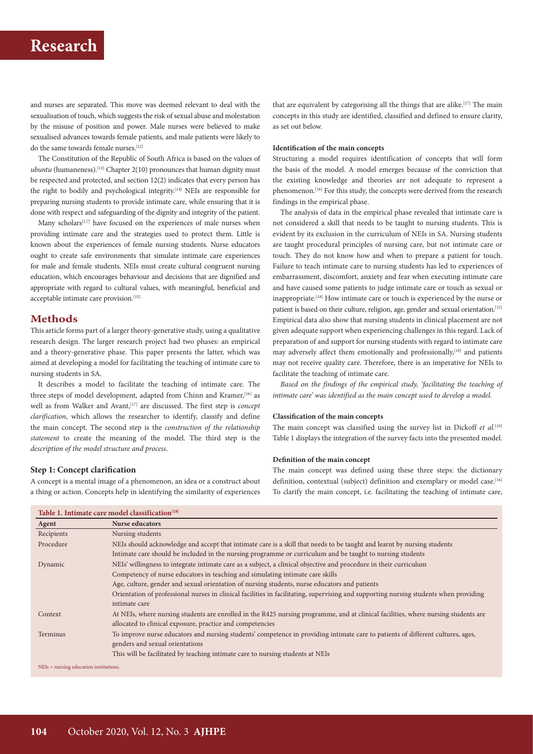## **Research**

and nurses are separated. This move was deemed relevant to deal with the sexualisation of touch, which suggests the risk of sexual abuse and molestation by the misuse of position and power. Male nurses were believed to make sexualised advances towards female patients, and male patients were likely to do the same towards female nurses.[12]

The Constitution of the Republic of South Africa is based on the values of  $ubuntu$  (humaneness).<sup>[13]</sup> Chapter  $2(10)$  pronounces that human dignity must be respected and protected, and section 12(2) indicates that every person has the right to bodily and psychological integrity.<sup>[14]</sup> NEIs are responsible for preparing nursing students to provide intimate care, while ensuring that it is done with respect and safeguarding of the dignity and integrity of the patient.

Many scholars<sup>[1,7]</sup> have focused on the experiences of male nurses when providing intimate care and the strategies used to protect them. Little is known about the experiences of female nursing students. Nurse educators ought to create safe environments that simulate intimate care experiences for male and female students. NEIs must create cultural congruent nursing education, which encourages behaviour and decisions that are dignified and appropriate with regard to cultural values, with meaningful, beneficial and acceptable intimate care provision.<sup>[15]</sup>

## **Methods**

This article forms part of a larger theory-generative study, using a qualitative research design. The larger research project had two phases: an empirical and a theory-generative phase. This paper presents the latter, which was aimed at developing a model for facilitating the teaching of intimate care to nursing students in SA.

It describes a model to facilitate the teaching of intimate care. The three steps of model development, adapted from Chinn and Kramer, [16] as well as from Walker and Avant,<sup>[17]</sup> are discussed. The first step is *concept clarification*, which allows the researcher to identify, classify and define the main concept. The second step is the *construction of the relationship statement* to create the meaning of the model. The third step is the *description of the model structure and process*.

## **Step 1: Concept clarification**

A concept is a mental image of a phenomenon, an idea or a construct about a thing or action. Concepts help in identifying the similarity of experiences that are equivalent by categorising all the things that are alike.<sup>[17]</sup> The main concepts in this study are identified, classified and defined to ensure clarity, as set out below.

#### **Identification of the main concepts**

Structuring a model requires identification of concepts that will form the basis of the model. A model emerges because of the conviction that the existing knowledge and theories are not adequate to represent a phenomenon.<sup>[16]</sup> For this study, the concepts were derived from the research findings in the empirical phase.

The analysis of data in the empirical phase revealed that intimate care is not considered a skill that needs to be taught to nursing students. This is evident by its exclusion in the curriculum of NEIs in SA. Nursing students are taught procedural principles of nursing care, but not intimate care or touch. They do not know how and when to prepare a patient for touch. Failure to teach intimate care to nursing students has led to experiences of embarrassment, discomfort, anxiety and fear when executing intimate care and have caused some patients to judge intimate care or touch as sexual or inappropriate.[18] How intimate care or touch is experienced by the nurse or patient is based on their culture, religion, age, gender and sexual orientation.<sup>[12]</sup> Empirical data also show that nursing students in clinical placement are not given adequate support when experiencing challenges in this regard. Lack of preparation of and support for nursing students with regard to intimate care may adversely affect them emotionally and professionally,<sup>[18]</sup> and patients may not receive quality care. Therefore, there is an imperative for NEIs to facilitate the teaching of intimate care.

Based on the findings of the empirical study, 'facilitating the teaching of *intimate care' was identified as the main concept used to develop a model.* 

#### **Classification of the main concepts**

The main concept was classified using the survey list in Dickoff *et al.*<sup>[19]</sup> Table 1 displays the integration of the survey facts into the presented model.

#### **Definition of the main concept**

The main concept was defined using these three steps: the dictionary definition, contextual (subject) definition and exemplary or model case.<sup>[16]</sup> To clarify the main concept, i.e. facilitating the teaching of intimate care,

| Agent      | <b>Nurse educators</b>                                                                                                                |
|------------|---------------------------------------------------------------------------------------------------------------------------------------|
| Recipients | Nursing students                                                                                                                      |
| Procedure  | NEIs should acknowledge and accept that intimate care is a skill that needs to be taught and learnt by nursing students               |
|            | Intimate care should be included in the nursing programme or curriculum and be taught to nursing students                             |
| Dynamic    | NEIs' willingness to integrate intimate care as a subject, a clinical objective and procedure in their curriculum                     |
|            | Competency of nurse educators in teaching and simulating intimate care skills                                                         |
|            | Age, culture, gender and sexual orientation of nursing students, nurse educators and patients                                         |
|            | Orientation of professional nurses in clinical facilities in facilitating, supervising and supporting nursing students when providing |
|            | intimate care                                                                                                                         |
| Context    | At NEIs, where nursing students are enrolled in the R425 nursing programme, and at clinical facilities, where nursing students are    |
|            | allocated to clinical exposure, practice and competencies                                                                             |
| Terminus   | To improve nurse educators and nursing students' competence in providing intimate care to patients of different cultures, ages,       |
|            | genders and sexual orientations                                                                                                       |
|            | This will be facilitated by teaching intimate care to nursing students at NEIs                                                        |

NEIs = nursing education institutions.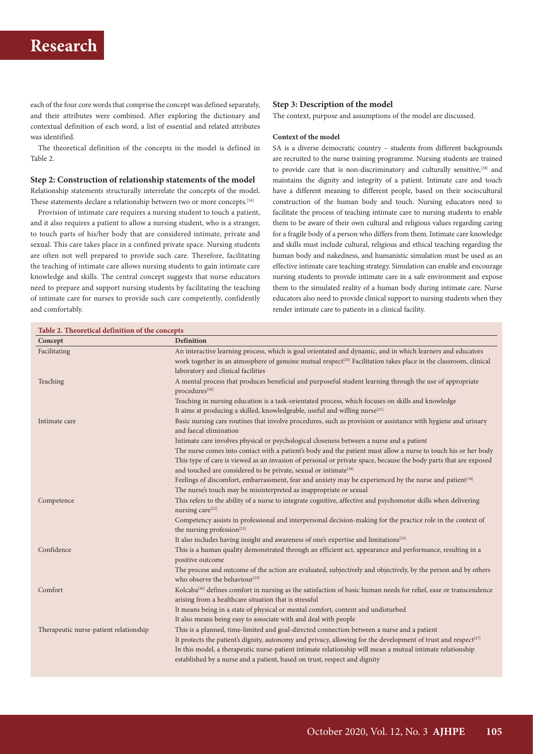## **Research**

each of the four core words that comprise the concept was defined separately, and their attributes were combined. After exploring the dictionary and contextual definition of each word, a list of essential and related attributes was identified.

The theoretical definition of the concepts in the model is defined in Table 2.

## **Step 2: Construction of relationship statements of the model**

Relationship statements structurally interrelate the concepts of the model. These statements declare a relationship between two or more concepts.<sup>[16]</sup>

Provision of intimate care requires a nursing student to touch a patient, and it also requires a patient to allow a nursing student, who is a stranger, to touch parts of his/her body that are considered intimate, private and sexual. This care takes place in a confined private space. Nursing students are often not well prepared to provide such care. Therefore, facilitating the teaching of intimate care allows nursing students to gain intimate care knowledge and skills. The central concept suggests that nurse educators need to prepare and support nursing students by facilitating the teaching of intimate care for nurses to provide such care competently, confidently and comfortably.

#### **Step 3: Description of the model**

The context, purpose and assumptions of the model are discussed.

#### **Context of the model**

SA is a diverse democratic country – students from different backgrounds are recruited to the nurse training programme. Nursing students are trained to provide care that is non-discriminatory and culturally sensitive,[28] and maintains the dignity and integrity of a patient. Intimate care and touch have a different meaning to different people, based on their sociocultural construction of the human body and touch. Nursing educators need to facilitate the process of teaching intimate care to nursing students to enable them to be aware of their own cultural and religious values regarding caring for a fragile body of a person who differs from them. Intimate care knowledge and skills must include cultural, religious and ethical teaching regarding the human body and nakedness, and humanistic simulation must be used as an effective intimate care teaching strategy. Simulation can enable and encourage nursing students to provide intimate care in a safe environment and expose them to the simulated reality of a human body during intimate care. Nurse educators also need to provide clinical support to nursing students when they render intimate care to patients in a clinical facility.

| Table 2. Theoretical definition of the concepts |                                                                                                                                                             |  |  |
|-------------------------------------------------|-------------------------------------------------------------------------------------------------------------------------------------------------------------|--|--|
| Concept                                         | Definition                                                                                                                                                  |  |  |
| Facilitating                                    | An interactive learning process, which is goal orientated and dynamic, and in which learners and educators                                                  |  |  |
|                                                 | work together in an atmosphere of genuine mutual respect <sup>[20]</sup> Facilitation takes place in the classroom, clinical                                |  |  |
|                                                 | laboratory and clinical facilities                                                                                                                          |  |  |
| Teaching                                        | A mental process that produces beneficial and purposeful student learning through the use of appropriate                                                    |  |  |
|                                                 | procedures[20]                                                                                                                                              |  |  |
|                                                 | Teaching in nursing education is a task-orientated process, which focuses on skills and knowledge                                                           |  |  |
|                                                 | It aims at producing a skilled, knowledgeable, useful and willing nurse <sup>[21]</sup>                                                                     |  |  |
| Intimate care                                   | Basic nursing care routines that involve procedures, such as provision or assistance with hygiene and urinary                                               |  |  |
|                                                 | and faecal elimination                                                                                                                                      |  |  |
|                                                 | Intimate care involves physical or psychological closeness between a nurse and a patient                                                                    |  |  |
|                                                 | The nurse comes into contact with a patient's body and the patient must allow a nurse to touch his or her body                                              |  |  |
|                                                 | This type of care is viewed as an invasion of personal or private space, because the body parts that are exposed                                            |  |  |
|                                                 | and touched are considered to be private, sexual or intimate <sup>[18]</sup>                                                                                |  |  |
|                                                 | Feelings of discomfort, embarrassment, fear and anxiety may be experienced by the nurse and patient[18]                                                     |  |  |
|                                                 | The nurse's touch may be misinterpreted as inappropriate or sexual                                                                                          |  |  |
| Competence                                      | This refers to the ability of a nurse to integrate cognitive, affective and psychomotor skills when delivering<br>nursing care <sup>[22]</sup>              |  |  |
|                                                 | Competency assists in professional and interpersonal decision-making for the practice role in the context of<br>the nursing profession <sup>[23]</sup>      |  |  |
|                                                 | It also includes having insight and awareness of one's expertise and limitations <sup>[24]</sup>                                                            |  |  |
| Confidence                                      | This is a human quality demonstrated through an efficient act, appearance and performance, resulting in a<br>positive outcome                               |  |  |
|                                                 | The process and outcome of the action are evaluated, subjectively and objectively, by the person and by others<br>who observe the behaviour <sup>[25]</sup> |  |  |
| Comfort                                         | Kolcaba <sup>[26]</sup> defines comfort in nursing as the satisfaction of basic human needs for relief, ease or transcendence                               |  |  |
|                                                 | arising from a healthcare situation that is stressful                                                                                                       |  |  |
|                                                 | It means being in a state of physical or mental comfort, content and undisturbed                                                                            |  |  |
|                                                 | It also means being easy to associate with and deal with people                                                                                             |  |  |
| Therapeutic nurse-patient relationship          | This is a planned, time-limited and goal-directed connection between a nurse and a patient                                                                  |  |  |
|                                                 | It protects the patient's dignity, autonomy and privacy, allowing for the development of trust and respect <sup>[27]</sup>                                  |  |  |
|                                                 | In this model, a therapeutic nurse-patient intimate relationship will mean a mutual intimate relationship                                                   |  |  |
|                                                 | established by a nurse and a patient, based on trust, respect and dignity                                                                                   |  |  |
|                                                 |                                                                                                                                                             |  |  |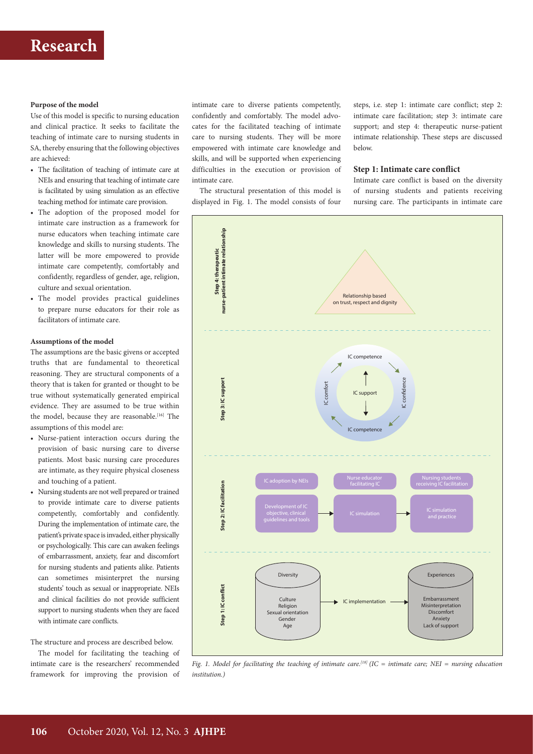## **Purpose of the model**

Use of this model is specific to nursing education and clinical practice. It seeks to facilitate the teaching of intimate care to nursing students in SA, thereby ensuring that the following objectives are achieved:

- The facilitation of teaching of intimate care at NEIs and ensuring that teaching of intimate care is facilitated by using simulation as an effective teaching method for intimate care provision.
- The adoption of the proposed model for intimate care instruction as a framework for nurse educators when teaching intimate care knowledge and skills to nursing students. The latter will be more empowered to provide intimate care competently, comfortably and confidently, regardless of gender, age, religion, culture and sexual orientation.
- The model provides practical guidelines to prepare nurse educators for their role as facilitators of intimate care.

#### **Assumptions of the model**

The assumptions are the basic givens or accepted truths that are fundamental to theoretical reasoning. They are structural components of a theory that is taken for granted or thought to be true without systematically generated empirical evidence. They are assumed to be true within the model, because they are reasonable.<sup>[16]</sup> The assumptions of this model are:

- Nurse-patient interaction occurs during the provision of basic nursing care to diverse patients. Most basic nursing care procedures are intimate, as they require physical closeness and touching of a patient.
- Nursing students are not well prepared or trained to provide intimate care to diverse patients competently, comfortably and confidently. During the implementation of intimate care, the patient's private space is invaded, either physically or psychologically. This care can awaken feelings of embarrassment, anxiety, fear and discomfort for nursing students and patients alike. Patients can sometimes misinterpret the nursing students' touch as sexual or inappropriate. NEIs and clinical facilities do not provide sufficient support to nursing students when they are faced with intimate care conflicts.

The structure and process are described below.

The model for facilitating the teaching of intimate care is the researchers' recommended framework for improving the provision of intimate care to diverse patients competently, confidently and comfortably. The model advocates for the facilitated teaching of intimate care to nursing students. They will be more empowered with intimate care knowledge and skills, and will be supported when experiencing difficulties in the execution or provision of intimate care.

The structural presentation of this model is displayed in Fig. 1. The model consists of four

steps, i.e. step 1: intimate care conflict; step 2: intimate care facilitation; step 3: intimate care support; and step 4: therapeutic nurse-patient intimate relationship. These steps are discussed below.

### **Step 1: Intimate care conflict**

Intimate care conflict is based on the diversity of nursing students and patients receiving nursing care. The participants in intimate care



*Fig. 1. Model for facilitating the teaching of intimate care.<sup>[18]</sup> (IC = intimate care; NEI = nursing education institution.)*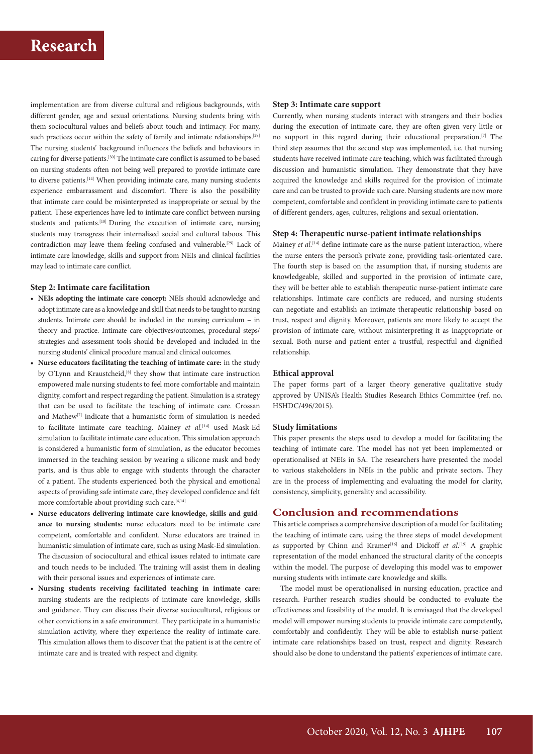implementation are from diverse cultural and religious backgrounds, with different gender, age and sexual orientations. Nursing students bring with them sociocultural values and beliefs about touch and intimacy. For many, such practices occur within the safety of family and intimate relationships.<sup>[29]</sup> The nursing students' background influences the beliefs and behaviours in caring for diverse patients.[30] The intimate care conflict is assumed to be based on nursing students often not being well prepared to provide intimate care to diverse patients.<sup>[14]</sup> When providing intimate care, many nursing students experience embarrassment and discomfort. There is also the possibility that intimate care could be misinterpreted as inappropriate or sexual by the patient. These experiences have led to intimate care conflict between nursing students and patients.<sup>[18]</sup> During the execution of intimate care, nursing students may transgress their internalised social and cultural taboos. This contradiction may leave them feeling confused and vulnerable.<sup>[29]</sup> Lack of intimate care knowledge, skills and support from NEIs and clinical facilities may lead to intimate care conflict.

## **Step 2: Intimate care facilitation**

- **• NEIs adopting the intimate care concept:** NEIs should acknowledge and adopt intimate care as a knowledge and skill that needs to be taught to nursing students. Intimate care should be included in the nursing curriculum – in theory and practice. Intimate care objectives/outcomes, procedural steps/ strategies and assessment tools should be developed and included in the nursing students' clinical procedure manual and clinical outcomes.
- **• Nurse educators facilitating the teaching of intimate care:** in the study by O'Lynn and Kraustcheid,<sup>[8]</sup> they show that intimate care instruction empowered male nursing students to feel more comfortable and maintain dignity, comfort and respect regarding the patient. Simulation is a strategy that can be used to facilitate the teaching of intimate care. Crossan and Mathew[7] indicate that a humanistic form of simulation is needed to facilitate intimate care teaching. Mainey *et al.*[14] used Mask-Ed simulation to facilitate intimate care education. This simulation approach is considered a humanistic form of simulation, as the educator becomes immersed in the teaching session by wearing a silicone mask and body parts, and is thus able to engage with students through the character of a patient. The students experienced both the physical and emotional aspects of providing safe intimate care, they developed confidence and felt more comfortable about providing such care.<sup>[4,14]</sup>
- **• Nurse educators delivering intimate care knowledge, skills and guid ance to nursing students:** nurse educators need to be intimate care competent, comfortable and confident. Nurse educators are trained in humanistic simulation of intimate care, such as using Mask-Ed simulation. The discussion of sociocultural and ethical issues related to intimate care and touch needs to be included. The training will assist them in dealing with their personal issues and experiences of intimate care.
- **• Nursing students receiving facilitated teaching in intimate care:** nursing students are the recipients of intimate care knowledge, skills and guidance. They can discuss their diverse sociocultural, religious or other convictions in a safe environment. They participate in a humanistic simulation activity, where they experience the reality of intimate care. This simulation allows them to discover that the patient is at the centre of intimate care and is treated with respect and dignity.

#### **Step 3: Intimate care support**

Currently, when nursing students interact with strangers and their bodies during the execution of intimate care, they are often given very little or no support in this regard during their educational preparation.[7] The third step assumes that the second step was implemented, i.e. that nursing students have received intimate care teaching, which was facilitated through discussion and humanistic simulation. They demonstrate that they have acquired the knowledge and skills required for the provision of intimate care and can be trusted to provide such care. Nursing students are now more competent, comfortable and confident in providing intimate care to patients of different genders, ages, cultures, religions and sexual orientation.

## **Step 4: Therapeutic nurse-patient intimate relationships**

Mainey *et al.*<sup>[14]</sup> define intimate care as the nurse-patient interaction, where the nurse enters the person's private zone, providing task-orientated care. The fourth step is based on the assumption that, if nursing students are knowledgeable, skilled and supported in the provision of intimate care, they will be better able to establish therapeutic nurse-patient intimate care relationships. Intimate care conflicts are reduced, and nursing students can negotiate and establish an intimate therapeutic relationship based on trust, respect and dignity. Moreover, patients are more likely to accept the provision of intimate care, without misinterpreting it as inappropriate or sexual. Both nurse and patient enter a trustful, respectful and dignified relationship.

## **Ethical approval**

The paper forms part of a larger theory generative qualitative study approved by UNISA's Health Studies Research Ethics Committee (ref. no. HSHDC/496/2015).

## **Study limitations**

This paper presents the steps used to develop a model for facilitating the teaching of intimate care. The model has not yet been implemented or operationalised at NEIs in SA. The researchers have presented the model to various stakeholders in NEIs in the public and private sectors. They are in the process of implementing and evaluating the model for clarity, consistency, simplicity, generality and accessibility.

### **Conclusion and recommendations**

This article comprises a comprehensive description of a model for facilitating the teaching of intimate care, using the three steps of model development as supported by Chinn and Kramer<sup>[16]</sup> and Dickoff *et al*.<sup>[19]</sup> A graphic representation of the model enhanced the structural clarity of the concepts within the model. The purpose of developing this model was to empower nursing students with intimate care knowledge and skills.

The model must be operationalised in nursing education, practice and research. Further research studies should be conducted to evaluate the effectiveness and feasibility of the model. It is envisaged that the developed model will empower nursing students to provide intimate care competently, comfortably and confidently. They will be able to establish nurse-patient intimate care relationships based on trust, respect and dignity. Research should also be done to understand the patients' experiences of intimate care.